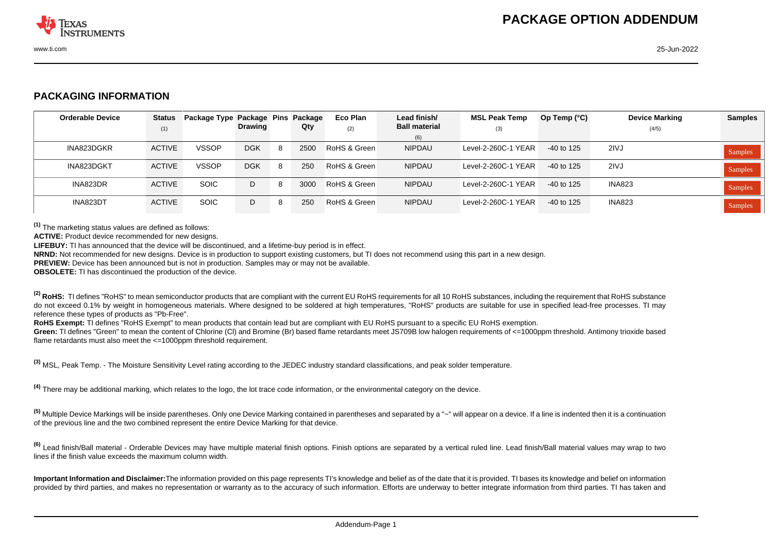

## **PACKAGING INFORMATION**

| <b>Orderable Device</b> | <b>Status</b><br>(1) | Package Type Package Pins Package | <b>Drawing</b> |   | Qty  | Eco Plan<br>(2) | Lead finish/<br><b>Ball material</b><br>(6) | <b>MSL Peak Temp</b><br>(3) | Op Temp $(^{\circ}C)$ | <b>Device Marking</b><br>(4/5) | <b>Samples</b> |
|-------------------------|----------------------|-----------------------------------|----------------|---|------|-----------------|---------------------------------------------|-----------------------------|-----------------------|--------------------------------|----------------|
| INA823DGKR              | <b>ACTIVE</b>        | <b>VSSOP</b>                      | <b>DGK</b>     |   | 2500 | RoHS & Green    | <b>NIPDAU</b>                               | Level-2-260C-1 YEAR         | -40 to 125            | 2IVJ                           | <b>Samples</b> |
| INA823DGKT              | <b>ACTIVE</b>        | <b>VSSOP</b>                      | <b>DGK</b>     | 8 | 250  | RoHS & Green    | <b>NIPDAU</b>                               | Level-2-260C-1 YEAR         | $-40$ to 125          | 2IVJ                           | Samples        |
| INA823DR                | <b>ACTIVE</b>        | <b>SOIC</b>                       | D              |   | 3000 | RoHS & Green    | <b>NIPDAU</b>                               | Level-2-260C-1 YEAR         | -40 to 125            | <b>INA823</b>                  | Samples        |
| INA823DT                | <b>ACTIVE</b>        | <b>SOIC</b>                       | D              |   | 250  | RoHS & Green    | <b>NIPDAU</b>                               | Level-2-260C-1 YEAR         | -40 to 125            | <b>INA823</b>                  | Samples        |

**(1)** The marketing status values are defined as follows:

**ACTIVE:** Product device recommended for new designs.

**LIFEBUY:** TI has announced that the device will be discontinued, and a lifetime-buy period is in effect.

**NRND:** Not recommended for new designs. Device is in production to support existing customers, but TI does not recommend using this part in a new design.

**PREVIEW:** Device has been announced but is not in production. Samples may or may not be available.

**OBSOLETE:** TI has discontinued the production of the device.

<sup>(2)</sup> RoHS: TI defines "RoHS" to mean semiconductor products that are compliant with the current EU RoHS requirements for all 10 RoHS substances, including the requirement that RoHS substance do not exceed 0.1% by weight in homogeneous materials. Where designed to be soldered at high temperatures, "RoHS" products are suitable for use in specified lead-free processes. TI may reference these types of products as "Pb-Free".

RoHS Exempt: TI defines "RoHS Exempt" to mean products that contain lead but are compliant with EU RoHS pursuant to a specific EU RoHS exemption.

Green: TI defines "Green" to mean the content of Chlorine (CI) and Bromine (Br) based flame retardants meet JS709B low halogen requirements of <=1000ppm threshold. Antimony trioxide based flame retardants must also meet the  $\leq 1000$ ppm threshold requirement.

**(3)** MSL, Peak Temp. - The Moisture Sensitivity Level rating according to the JEDEC industry standard classifications, and peak solder temperature.

**(4)** There may be additional marking, which relates to the logo, the lot trace code information, or the environmental category on the device.

**(5)** Multiple Device Markings will be inside parentheses. Only one Device Marking contained in parentheses and separated by a "~" will appear on a device. If a line is indented then it is a continuation of the previous line and the two combined represent the entire Device Marking for that device.

<sup>(6)</sup> Lead finish/Ball material - Orderable Devices may have multiple material finish options. Finish options are separated by a vertical ruled line. Lead finish/Ball material values may wrap to two lines if the finish value exceeds the maximum column width.

**Important Information and Disclaimer:**The information provided on this page represents TI's knowledge and belief as of the date that it is provided. TI bases its knowledge and belief on information provided by third parties, and makes no representation or warranty as to the accuracy of such information. Efforts are underway to better integrate information from third parties. TI has taken and